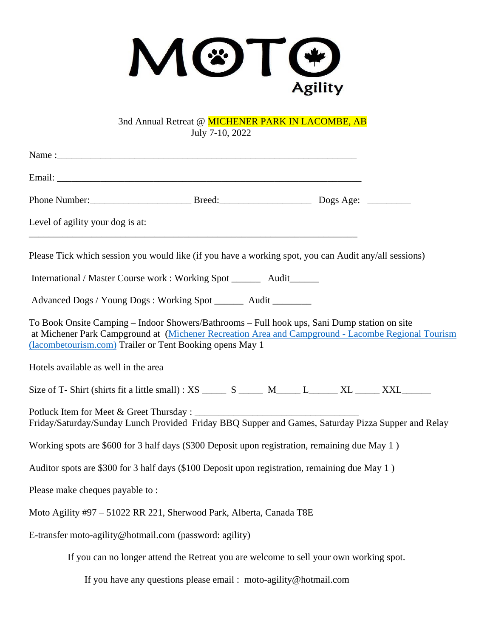

3nd Annual Retreat @ MICHENER PARK IN LACOMBE, AB July 7-10, 2022

| Level of agility your dog is at:                                                       |                                                                                                                                                                                                                                                                |  |  |
|----------------------------------------------------------------------------------------|----------------------------------------------------------------------------------------------------------------------------------------------------------------------------------------------------------------------------------------------------------------|--|--|
|                                                                                        | Please Tick which session you would like (if you have a working spot, you can Audit any/all sessions)                                                                                                                                                          |  |  |
|                                                                                        | International / Master Course work : Working Spot _________ Audit________                                                                                                                                                                                      |  |  |
|                                                                                        | Advanced Dogs / Young Dogs : Working Spot _______ Audit ________                                                                                                                                                                                               |  |  |
|                                                                                        | To Book Onsite Camping – Indoor Showers/Bathrooms – Full hook ups, Sani Dump station on site<br>at Michener Park Campground at (Michener Recreation Area and Campground - Lacombe Regional Tourism<br>(lacombetourism.com) Trailer or Tent Booking opens May 1 |  |  |
| Hotels available as well in the area                                                   |                                                                                                                                                                                                                                                                |  |  |
|                                                                                        | Size of T-Shirt (shirts fit a little small) : XS _______ S _______ M______ L_______ XL ______ XXL________                                                                                                                                                      |  |  |
| Potluck Item for Meet & Greet Thursday :                                               | Friday/Saturday/Sunday Lunch Provided Friday BBQ Supper and Games, Saturday Pizza Supper and Relay                                                                                                                                                             |  |  |
|                                                                                        | Working spots are \$600 for 3 half days (\$300 Deposit upon registration, remaining due May 1)                                                                                                                                                                 |  |  |
|                                                                                        | Auditor spots are \$300 for 3 half days (\$100 Deposit upon registration, remaining due May 1)                                                                                                                                                                 |  |  |
| Please make cheques payable to:                                                        |                                                                                                                                                                                                                                                                |  |  |
|                                                                                        | Moto Agility #97 - 51022 RR 221, Sherwood Park, Alberta, Canada T8E                                                                                                                                                                                            |  |  |
| E-transfer moto-agility@hotmail.com (password: agility)                                |                                                                                                                                                                                                                                                                |  |  |
| If you can no longer attend the Retreat you are welcome to sell your own working spot. |                                                                                                                                                                                                                                                                |  |  |
| If you have any questions please email : moto-agility@hotmail.com                      |                                                                                                                                                                                                                                                                |  |  |